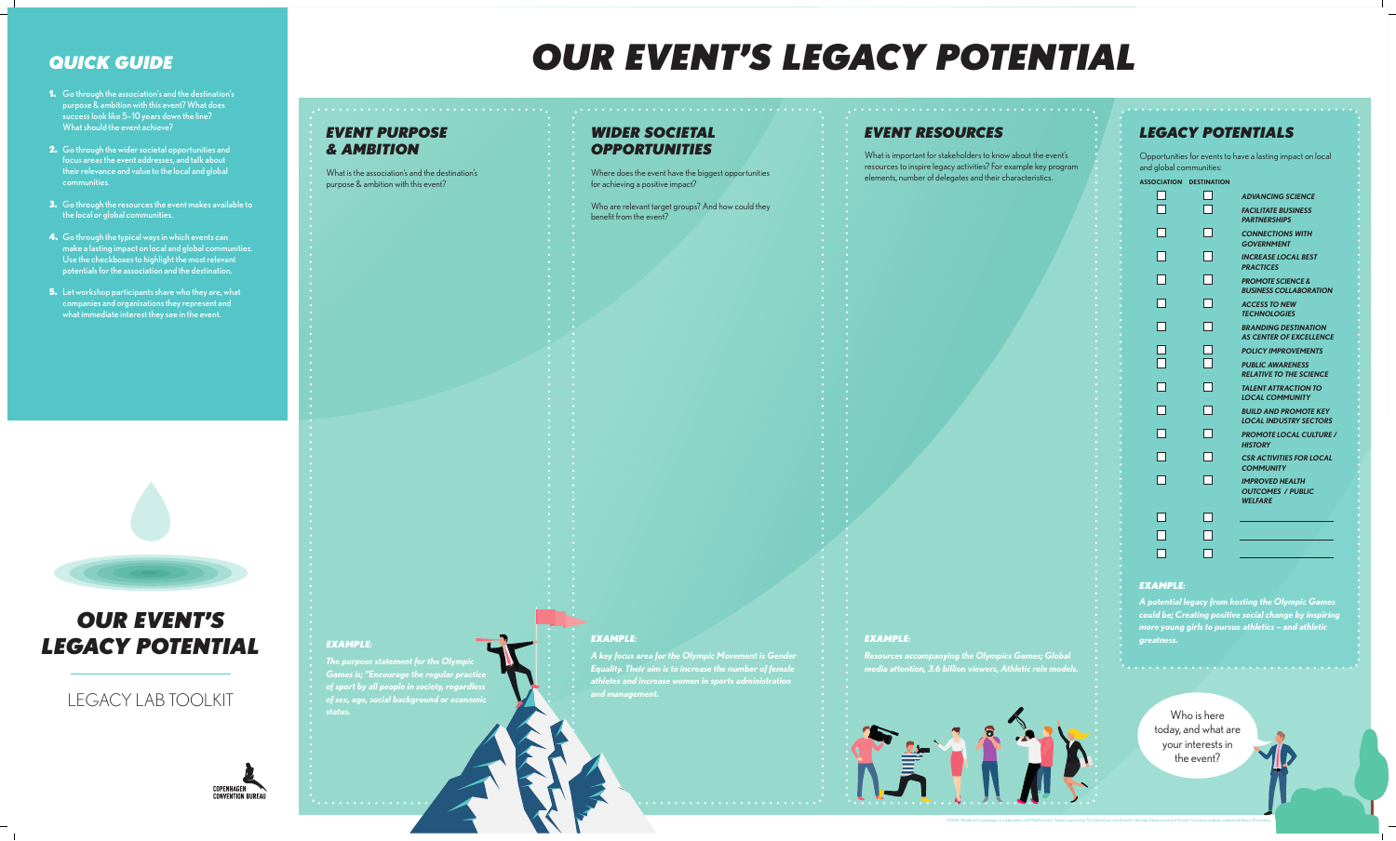

### *EVENT PURPOSE & AMBITION*

What is the association's and the destination's purpose & ambition with this event?

#### *WIDER SOCIETAL OPPORTUNITIES*

Where does the event have the biggest opportunities for achieving a positive impact?

Who are relevant target groups? And how could they benefit from the event?

### *EVENT RESOURCES*

What is important for stakeholders to know about the event's resources to inspire legacy activities? For example key program elements, number of delegates and their characteristics.

#### *EXAMPLE:*

*The purpose statement for the Olympic Games is; "Encourage the regular practice of sport by all people in society, regardless of sex, age, social background or economic status.*

 $\bullet$  . . . . . . . . . . . . . . .

#### *EXAMPLE:*

*A key focus area for the Olympic Movement is Gender Equality. Their aim is to increase the number of female athletes and increase women in sports administration and management.* 

#### *EXAMPLE:*

*Resources accompanying the Olympics Games; Global media attention, 3.6 billion viewers, Athletic role models.*



- **1.** Go through the association's and the destination's purpose & ambition with this event? What does success look like 5–10 years down the line? What should the event achieve?
- **2.** Go through the wider societal opportunities and focus areas the event addresses, and talk about their relevance and value to the local and global communities.
- **3.** Go through the resources the event makes available to the local or global communities.
- **4.** Go through the typical ways in which events can make a lasting impact on local and global communities. Use the checkboxes to highlight the most relevant potentials for the association and the destination.
- 5. Let workshop participants share who they are, what companies and organisations they represent and what immediate interest they see in the event.



Who is here today, and what are your interests in the event?

©2020: Wonderful Copenhagen in collaboration with MeetDenmark. Project supported by The Danish Executive Board for Business Development and Growth. Concept and design created with Below The Surface

### *QUICK GUIDE*

## *OUR EVENT'S LEGACY POTENTIAL*

## LEGACY LAB TOOLKIT



Opportunities for events to have a lasting impact on local and global communities:



| <b>ASSOCIATION</b> | <b>DESTINATION</b> |                                                                      |
|--------------------|--------------------|----------------------------------------------------------------------|
|                    |                    | <b>ADVANCING SCIENCE</b>                                             |
|                    |                    | <b>FACILITATE BUSINESS</b><br><b>PARTNERSHIPS</b>                    |
|                    |                    | <b>CONNECTIONS WITH</b><br><b>GOVERNMENT</b>                         |
|                    |                    | <b>INCREASE LOCAL BEST</b><br><b>PRACTICES</b>                       |
|                    |                    | <b>PROMOTE SCIENCE &amp;</b><br><b>BUSINESS COLLABORAT</b>           |
|                    |                    | <b>ACCESS TO NEW</b><br><b>TECHNOLOGIES</b>                          |
|                    |                    | <b>BRANDING DESTINATIO</b><br><b>AS CENTER OF EXCELLE</b>            |
|                    |                    | <b>POLICY IMPROVEMENT</b>                                            |
|                    |                    | <b>PUBLIC AWARENESS</b><br><b>RELATIVE TO THE SCIEN</b>              |
|                    |                    | <b>TALENT ATTRACTION TO</b><br><b>LOCAL COMMUNITY</b>                |
|                    |                    | <b>BUILD AND PROMOTE K</b><br><b>LOCAL INDUSTRY SECT</b>             |
|                    |                    | <b>PROMOTE LOCAL CULT</b><br><b>HISTORY</b>                          |
|                    |                    | <b>CSR ACTIVITIES FOR LO</b><br><b>COMMUNITY</b>                     |
|                    |                    | <b>IMPROVED HEALTH</b><br><b>OUTCOMES / PUBLIC</b><br><b>WELFARE</b> |
|                    |                    |                                                                      |
|                    |                    |                                                                      |
|                    |                    |                                                                      |

## *LEGACY POTENTIALS*

#### *EXAMPLE:*

*A potential legacy from hosting the Olympic Games could be; Creating positive social change by inspiring more young girls to pursue athletics – and athletic greatness.*